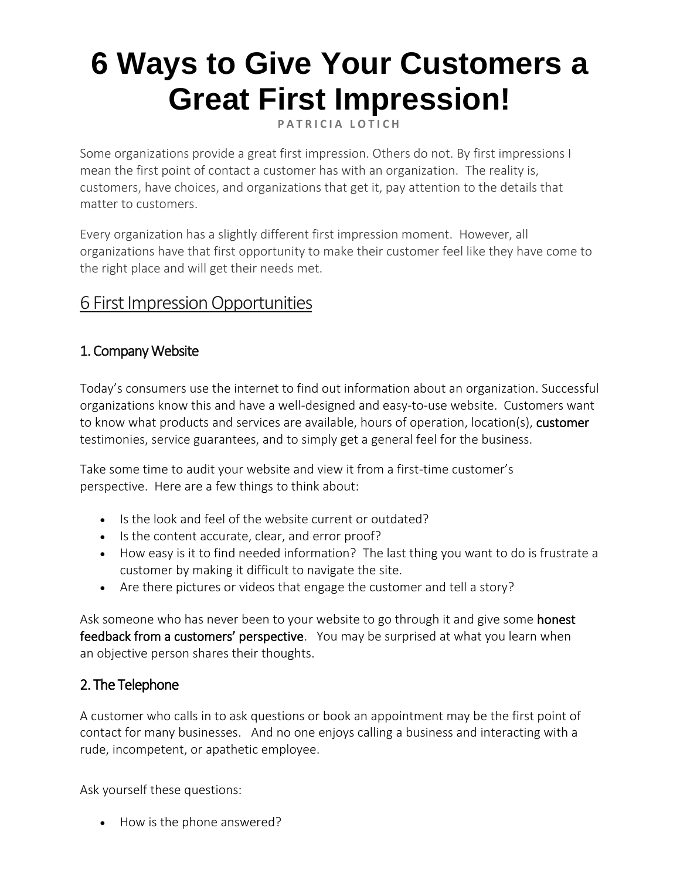# **6 Ways to Give Your Customers a Great First Impression!**

**PATRICIA LOTICH** 

Some organizations provide a great first impression. Others do not. By first impressions I mean the first point of contact a customer has with an organization. The reality is, customers, have choices, and organizations that get it, pay attention to the details that matter to customers.

Every organization has a slightly different first impression moment. However, all organizations have that first opportunity to make their customer feel like they have come to the right place and will get their needs met.

# 6 First Impression Opportunities

# 1. Company Website

Today's consumers use the internet to find out information about an organization. Successful organizations know this and have a well-designed and easy-to-use website. Customers want to know what products and services are available, hours of operation, location(s), [customer](https://thethrivingsmallbusiness.com/how-to-turn-customer-satisfaction-into-customer-loyalty/) testimonies, service guarantees, and to simply get a general feel for the business.

Take some time to audit your website and view it from a first-time customer's perspective. Here are a few things to think about:

- Is the look and feel of the website current or outdated?
- Is the content accurate, clear, and error proof?
- How easy is it to find needed information? The last thing you want to do is frustrate a customer by making it difficult to navigate the site.
- Are there pictures or videos that engage the customer and tell a story?

Ask someone who has never been to your website to go through it and give some **honest** [feedback from a customers' perspective](https://thethrivingsmallbusiness.com/4-keys-to-a-great-customer-service-experience/). You may be surprised at what you learn when an objective person shares their thoughts.

## 2. The Telephone

A customer who calls in to ask questions or book an appointment may be the first point of contact for many businesses. And no one enjoys calling a business and interacting with a rude, incompetent, or apathetic employee.

Ask yourself these questions:

• How is the phone answered?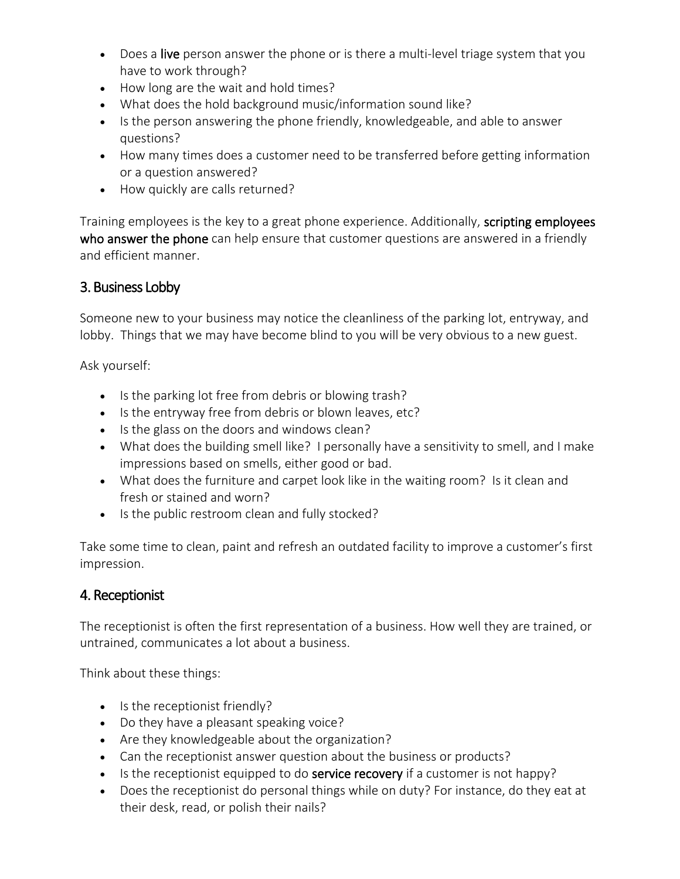- Does a live person answer the phone or is there a multi-level triage system that you have to work through?
- How long are the wait and hold times?
- What does the hold background music/information sound like?
- Is the person answering the phone friendly, knowledgeable, and able to answer questions?
- How many times does a customer need to be transferred before getting information or a question answered?
- How quickly are calls returned?

Training employees is the key to a great phone experience. Additionally, scripting employees [who answer the phone](https://thethrivingsmallbusiness.com/sample-business-telephone-script/) can help ensure that customer questions are answered in a friendly and efficient manner.

#### 3. Business Lobby

Someone new to your business may notice the cleanliness of the parking lot, entryway, and lobby. Things that we may have become blind to you will be very obvious to a new guest.

Ask yourself:

- Is the parking lot free from debris or blowing trash?
- Is the entryway free from debris or blown leaves, etc?
- Is the glass on the doors and windows clean?
- What does the building smell like? I personally have a sensitivity to smell, and I make impressions based on smells, either good or bad.
- What does the furniture and carpet look like in the waiting room? Is it clean and fresh or stained and worn?
- Is the public restroom clean and fully stocked?

Take some time to clean, paint and refresh an outdated facility to improve a customer's first impression.

#### 4. Receptionist

The receptionist is often the first representation of a business. How well they are trained, or untrained, communicates a lot about a business.

Think about these things:

- Is the receptionist friendly?
- Do they have a pleasant speaking voice?
- Are they knowledgeable about the organization?
- Can the receptionist answer question about the business or products?
- Is the receptionist equipped to do **service recovery** if a customer is not happy?
- Does the receptionist do personal things while on duty? For instance, do they eat at their desk, read, or polish their nails?